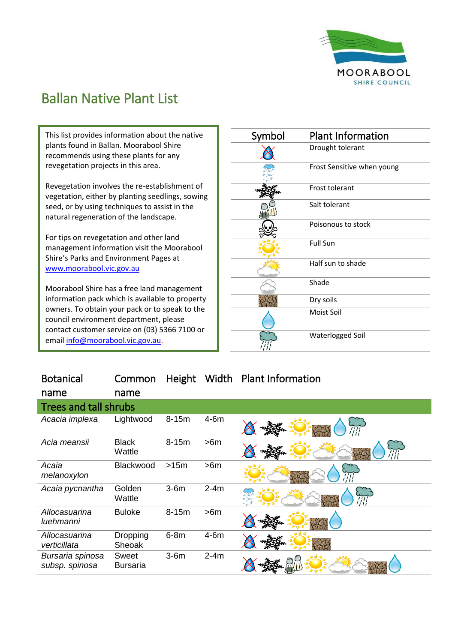

## Ballan Native Plant List

This list provides information about the native plants found in Ballan. Moorabool Shire recommends using these plants for any revegetation projects in this area.

Revegetation involves the re-establishment of vegetation, either by planting seedlings, sowing seed, or by using techniques to assist in the natural regeneration of the landscape.

For tips on revegetation and other land management information visit the Moorabool Shire's Parks and Environment Pages at [www.moorabool.vic.gov.au](http://www.moorabool.vic.gov.au/)

Moorabool Shire has a free land management information pack which is available to property owners. To obtain your pack or to speak to the council environment department, please contact customer service on (03) 5366 7100 or emai[l info@moorabool.vic.gov.au.](mailto:info@moorabool.vic.gov.au)

| Symbol | <b>Plant Information</b>   |
|--------|----------------------------|
|        | Drought tolerant           |
|        | Frost Sensitive when young |
|        | Frost tolerant             |
|        | Salt tolerant              |
|        | Poisonous to stock         |
|        | <b>Full Sun</b>            |
|        | Half sun to shade          |
|        | Shade                      |
|        | Dry soils                  |
|        | Moist Soil                 |
|        | Waterlogged Soil           |

| <b>Botanical</b>                   | Common                    | Height    | Width  | <b>Plant Information</b> |
|------------------------------------|---------------------------|-----------|--------|--------------------------|
| name                               | name                      |           |        |                          |
| <b>Trees and tall shrubs</b>       |                           |           |        |                          |
| Acacia implexa                     | Lightwood                 | $8 - 15m$ | $4-6m$ | $\overline{\eta}_t$      |
| Acia meansii                       | <b>Black</b><br>Wattle    | $8-15m$   | >6m    |                          |
| Acaia<br>melanoxylon               | Blackwood                 | >15m      | >6m    |                          |
| Acaia pycnantha                    | Golden<br>Wattle          | $3-6m$    | $2-4m$ | ŦП                       |
| Allocasuarina<br>luehmanni         | <b>Buloke</b>             | $8-15m$   | >6m    |                          |
| Allocasuarina<br>verticillata      | <b>Dropping</b><br>Sheoak | $6-8m$    | $4-6m$ |                          |
| Bursaria spinosa<br>subsp. spinosa | Sweet<br><b>Bursaria</b>  | $3-6m$    | $2-4m$ |                          |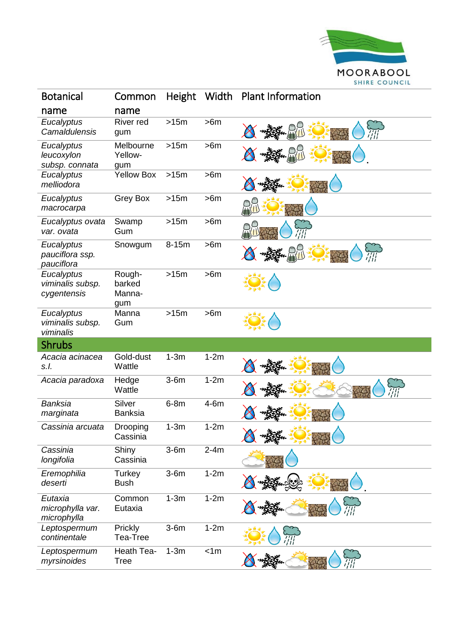

| <b>Botanical</b>                              | Common                            | <b>Height</b> | Width  | <b>Plant Information</b> |
|-----------------------------------------------|-----------------------------------|---------------|--------|--------------------------|
| name                                          | name                              |               |        |                          |
| Eucalyptus<br>Camaldulensis                   | River red<br>gum                  | >15m          | >6m    |                          |
| Eucalyptus<br>leucoxylon<br>subsp. connata    | Melbourne<br>Yellow-<br>gum       | >15m          | >6m    |                          |
| Eucalyptus<br>melliodora                      | <b>Yellow Box</b>                 | >15m          | >6m    |                          |
| Eucalyptus<br>macrocarpa                      | <b>Grey Box</b>                   | >15m          | >6m    |                          |
| Eucalyptus ovata<br>var. ovata                | Swamp<br>Gum                      | >15m          | >6m    |                          |
| Eucalyptus<br>pauciflora ssp.<br>pauciflora   | Snowgum                           | 8-15m         | >6m    |                          |
| Eucalyptus<br>viminalis subsp.<br>cygentensis | Rough-<br>barked<br>Manna-<br>gum | >15m          | >6m    |                          |
| Eucalyptus<br>viminalis subsp.<br>viminalis   | Manna<br>Gum                      | >15m          | >6m    |                          |
| <b>Shrubs</b>                                 |                                   |               |        |                          |
| Acacia acinacea<br>s.l.                       | Gold-dust<br>Wattle               | $1-3m$        | $1-2m$ |                          |
| Acacia paradoxa                               | Hedge<br>Wattle                   | $3-6m$        | $1-2m$ |                          |
| Banksia<br>marginata                          | Silver<br><b>Banksia</b>          | $6-8m$        | $4-6m$ |                          |
| Cassinia arcuata                              | Drooping<br>Cassinia              | $1-3m$        | $1-2m$ |                          |
| Cassinia<br>longifolia                        | Shiny<br>Cassinia                 | $3-6m$        | $2-4m$ |                          |
| Eremophilia<br>deserti                        | Turkey<br><b>Bush</b>             | $3-6m$        | $1-2m$ |                          |
| Eutaxia<br>microphylla var.<br>microphylla    | Common<br>Eutaxia                 | $1-3m$        | $1-2m$ |                          |
| Leptospermum<br>continentale                  | Prickly<br>Tea-Tree               | $3-6m$        | $1-2m$ |                          |
| Leptospermum<br>myrsinoides                   | Heath Tea-<br><b>Tree</b>         | $1-3m$        | < 1m   |                          |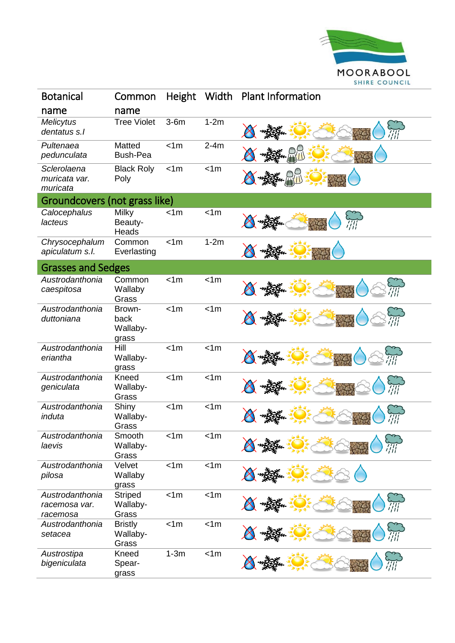

| <b>Botanical</b>                             | Common                              | Height | Width  | <b>Plant Information</b> |
|----------------------------------------------|-------------------------------------|--------|--------|--------------------------|
| name                                         | name                                |        |        |                          |
| <b>Melicytus</b><br>dentatus s.l             | <b>Tree Violet</b>                  | $3-6m$ | $1-2m$ |                          |
| Pultenaea<br>pedunculata                     | Matted<br><b>Bush-Pea</b>           | < 1m   | $2-4m$ |                          |
| Sclerolaena<br>muricata var.<br>muricata     | <b>Black Roly</b><br>Poly           | < 1m   | < 1m   |                          |
| Groundcovers (not grass like)                |                                     |        |        |                          |
| Calocephalus<br>lacteus                      | <b>Milky</b><br>Beauty-<br>Heads    | < 1m   | < 1m   |                          |
| Chrysocephalum<br>apiculatum s.l.            | Common<br>Everlasting               | < 1m   | $1-2m$ |                          |
| <b>Grasses and Sedges</b>                    |                                     |        |        |                          |
| Austrodanthonia<br>caespitosa                | Common<br>Wallaby<br>Grass          | < 1m   | < 1m   |                          |
| Austrodanthonia<br>duttoniana                | Brown-<br>back<br>Wallaby-<br>grass | < 1m   | < 1m   |                          |
| Austrodanthonia<br>eriantha                  | Hill<br>Wallaby-<br>grass           | < 1m   | < 1m   |                          |
| Austrodanthonia<br>geniculata                | Kneed<br>Wallaby-<br>Grass          | < 1m   | < 1m   |                          |
| Austrodanthonia<br>induta                    | Shiny<br>Wallaby-<br>Grass          | < 1m   | < 1m   |                          |
| Austrodanthonia<br>laevis                    | Smooth<br>Wallaby-<br>Grass         | < 1m   | < 1m   |                          |
| Austrodanthonia<br>pilosa                    | Velvet<br>Wallaby<br>grass          | < 1m   | < 1m   |                          |
| Austrodanthonia<br>racemosa var.<br>racemosa | <b>Striped</b><br>Wallaby-<br>Grass | < 1m   | < 1m   |                          |
| Austrodanthonia<br>setacea                   | <b>Bristly</b><br>Wallaby-<br>Grass | < 1m   | < 1m   |                          |
| Austrostipa<br>bigeniculata                  | Kneed<br>Spear-<br>grass            | $1-3m$ | < 1m   |                          |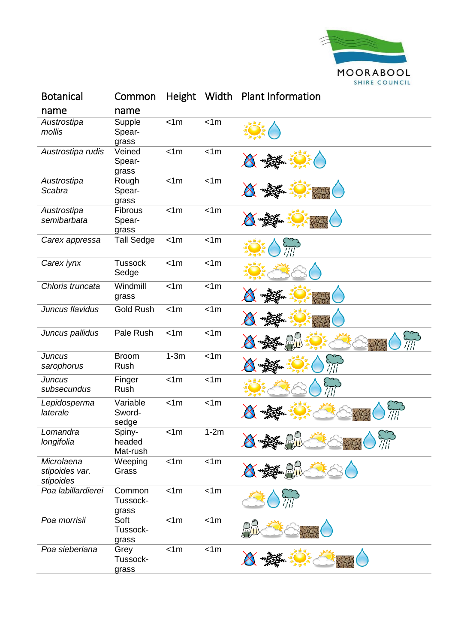

| <b>Botanical</b>                          | Common                       | Height | Width          | <b>Plant Information</b> |
|-------------------------------------------|------------------------------|--------|----------------|--------------------------|
| name                                      | name                         |        |                |                          |
| Austrostipa<br>mollis                     | Supple<br>Spear-<br>grass    | < 1m   | < 1m           |                          |
| Austrostipa rudis                         | Veined<br>Spear-<br>grass    | < 1m   | < 1m           |                          |
| Austrostipa<br>Scabra                     | Rough<br>Spear-<br>grass     | < 1m   | < 1m           |                          |
| Austrostipa<br>semibarbata                | Fibrous<br>Spear-<br>grass   | < 1m   | < 1m           |                          |
| Carex appressa                            | <b>Tall Sedge</b>            | < 1m   | < 1m           |                          |
| Carex iynx                                | <b>Tussock</b><br>Sedge      | < 1m   | < 1m           |                          |
| Chloris truncata                          | Windmill<br>grass            | < 1m   | $\overline{5}$ |                          |
| Juncus flavidus                           | <b>Gold Rush</b>             | < 1m   | < 1m           |                          |
| Juncus pallidus                           | Pale Rush                    | < 1m   | < 1m           |                          |
| <b>Juncus</b><br>sarophorus               | <b>Broom</b><br>Rush         | $1-3m$ | < 1m           |                          |
| <b>Juncus</b><br>subsecundus              | Finger<br>Rush               | < 1m   | < 1m           |                          |
| Lepidosperma<br>laterale                  | Variable<br>Sword-<br>sedge  | < 1m   | < 1m           |                          |
| Lomandra<br>longifolia                    | Spiny-<br>headed<br>Mat-rush | < 1m   | $1-2m$         |                          |
| Microlaena<br>stipoides var.<br>stipoides | Weeping<br>Grass             | < 1m   | < 1m           |                          |
| Poa labillardierei                        | Common<br>Tussock-<br>grass  | < 1m   | < 1m           |                          |
| Poa morrisii                              | Soft<br>Tussock-<br>grass    | < 1m   | < 1m           |                          |
| Poa sieberiana                            | Grey<br>Tussock-<br>grass    | < 1m   | < 1m           |                          |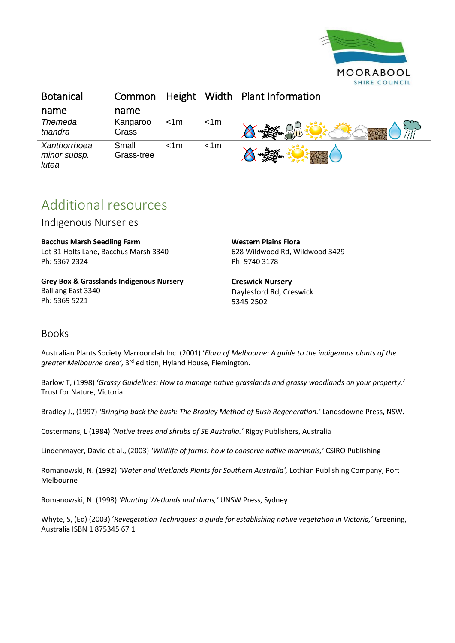

| <b>Botanical</b>                      | Common              |      |      | Height Width Plant Information |
|---------------------------------------|---------------------|------|------|--------------------------------|
| name                                  | name                |      |      |                                |
| Themeda<br>triandra                   | Kangaroo<br>Grass   | < 1m | < 1m | へに                             |
| Xanthorrhoea<br>minor subsp.<br>lutea | Small<br>Grass-tree | < 1m | < 1m |                                |

## Additional resources

Indigenous Nurseries

**Bacchus Marsh Seedling Farm** Lot 31 Holts Lane, Bacchus Marsh 3340 Ph: 5367 2324

**Grey Box & Grasslands Indigenous Nursery** Balliang East 3340 Ph: 5369 5221

**Western Plains Flora** 628 Wildwood Rd, Wildwood 3429 Ph: 9740 3178

**Creswick Nursery** Daylesford Rd, Creswick 5345 2502

## Books

Australian Plants Society Marroondah Inc. (2001) '*Flora of Melbourne: A guide to the indigenous plants of the*  greater Melbourne area', 3<sup>rd</sup> edition, Hyland House, Flemington.

Barlow T, (1998) '*Grassy Guidelines: How to manage native grasslands and grassy woodlands on your property.'*  Trust for Nature, Victoria.

Bradley J., (1997) *'Bringing back the bush: The Bradley Method of Bush Regeneration.'* Landsdowne Press, NSW.

Costermans, L (1984) *'Native trees and shrubs of SE Australia.'* Rigby Publishers, Australia

Lindenmayer, David et al., (2003) *'Wildlife of farms: how to conserve native mammals,'* CSIRO Publishing

Romanowski, N. (1992) *'Water and Wetlands Plants for Southern Australia',* Lothian Publishing Company, Port Melbourne

Romanowski, N. (1998) *'Planting Wetlands and dams,'* UNSW Press, Sydney

Whyte, S, (Ed) (2003) '*Revegetation Techniques: a guide for establishing native vegetation in Victoria,'* Greening, Australia ISBN 1 875345 67 1